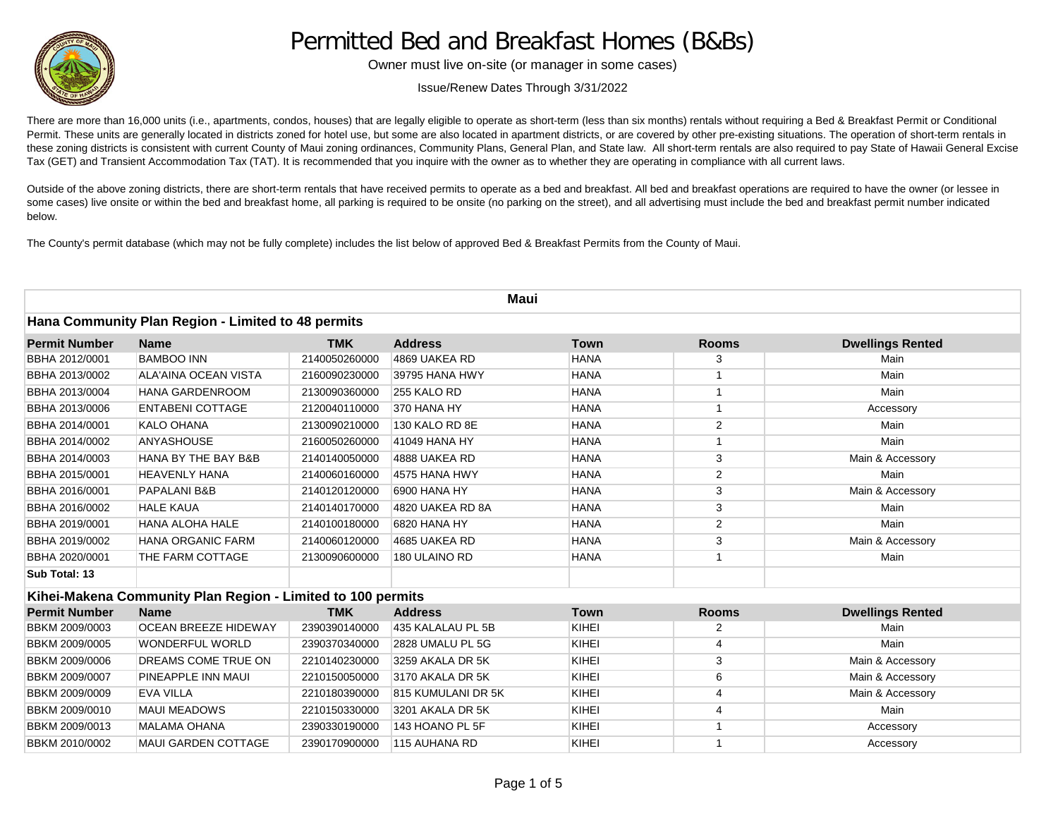

## Permitted Bed and Breakfast Homes (B&Bs)

Owner must live on-site (or manager in some cases)

Issue/Renew Dates Through 3/31/2022

There are more than 16,000 units (i.e., apartments, condos, houses) that are legally eligible to operate as short-term (less than six months) rentals without requiring a Bed & Breakfast Permit or Conditional Permit. These units are generally located in districts zoned for hotel use, but some are also located in apartment districts, or are covered by other pre-existing situations. The operation of short-term rentals in these zoning districts is consistent with current County of Maui zoning ordinances, Community Plans, General Plan, and State law. All short-term rentals are also required to pay State of Hawaii General Excise Tax (GET) and Transient Accommodation Tax (TAT). It is recommended that you inquire with the owner as to whether they are operating in compliance with all current laws.

Outside of the above zoning districts, there are short-term rentals that have received permits to operate as a bed and breakfast. All bed and breakfast operations are required to have the owner (or lessee in some cases) live onsite or within the bed and breakfast home, all parking is required to be onsite (no parking on the street), and all advertising must include the bed and breakfast permit number indicated below.

The County's permit database (which may not be fully complete) includes the list below of approved Bed & Breakfast Permits from the County of Maui.

| Maui<br>Hana Community Plan Region - Limited to 48 permits |                                                             |               |                    |             |                |                         |
|------------------------------------------------------------|-------------------------------------------------------------|---------------|--------------------|-------------|----------------|-------------------------|
|                                                            |                                                             |               |                    |             |                |                         |
| BBHA 2012/0001                                             | <b>BAMBOO INN</b>                                           | 2140050260000 | 4869 UAKEA RD      | <b>HANA</b> | 3              | Main                    |
| BBHA 2013/0002                                             | <b>ALA'AINA OCEAN VISTA</b>                                 | 2160090230000 | 39795 HANA HWY     | <b>HANA</b> | $\mathbf{1}$   | Main                    |
| BBHA 2013/0004                                             | <b>HANA GARDENROOM</b>                                      | 2130090360000 | 255 KALO RD        | <b>HANA</b> | $\mathbf{1}$   | Main                    |
| BBHA 2013/0006                                             | <b>ENTABENI COTTAGE</b>                                     | 2120040110000 | 370 HANA HY        | <b>HANA</b> | $\mathbf{1}$   | Accessory               |
| BBHA 2014/0001                                             | <b>KALO OHANA</b>                                           | 2130090210000 | 130 KALO RD 8E     | <b>HANA</b> | 2              | Main                    |
| BBHA 2014/0002                                             | <b>ANYASHOUSE</b>                                           | 2160050260000 | 41049 HANA HY      | <b>HANA</b> | $\mathbf{1}$   | Main                    |
| BBHA 2014/0003                                             | HANA BY THE BAY B&B                                         | 2140140050000 | 4888 UAKEA RD      | <b>HANA</b> | 3              | Main & Accessory        |
| BBHA 2015/0001                                             | <b>HEAVENLY HANA</b>                                        | 2140060160000 | 4575 HANA HWY      | <b>HANA</b> | 2              | Main                    |
| BBHA 2016/0001                                             | PAPALANI B&B                                                | 2140120120000 | 6900 HANA HY       | <b>HANA</b> | 3              | Main & Accessory        |
| BBHA 2016/0002                                             | <b>HALE KAUA</b>                                            | 2140140170000 | 4820 UAKEA RD 8A   | <b>HANA</b> | 3              | Main                    |
| BBHA 2019/0001                                             | <b>HANA ALOHA HALE</b>                                      | 2140100180000 | 6820 HANA HY       | <b>HANA</b> | 2              | Main                    |
| BBHA 2019/0002                                             | <b>HANA ORGANIC FARM</b>                                    | 2140060120000 | 4685 UAKEA RD      | <b>HANA</b> | 3              | Main & Accessory        |
| BBHA 2020/0001                                             | THE FARM COTTAGE                                            | 2130090600000 | 180 ULAINO RD      | <b>HANA</b> | $\mathbf{1}$   | Main                    |
| Sub Total: 13                                              |                                                             |               |                    |             |                |                         |
|                                                            | Kihei-Makena Community Plan Region - Limited to 100 permits |               |                    |             |                |                         |
| <b>Permit Number</b>                                       | <b>Name</b>                                                 | <b>TMK</b>    | <b>Address</b>     | <b>Town</b> | <b>Rooms</b>   | <b>Dwellings Rented</b> |
| BBKM 2009/0003                                             | <b>OCEAN BREEZE HIDEWAY</b>                                 | 2390390140000 | 435 KALALAU PL 5B  | KIHEI       | 2              | Main                    |
| BBKM 2009/0005                                             | <b>WONDERFUL WORLD</b>                                      | 2390370340000 | 2828 UMALU PL 5G   | KIHEI       | $\overline{4}$ | Main                    |
| BBKM 2009/0006                                             | DREAMS COME TRUE ON                                         | 2210140230000 | 3259 AKALA DR 5K   | KIHEI       | 3              | Main & Accessory        |
| BBKM 2009/0007                                             | PINEAPPLE INN MAUI                                          | 2210150050000 | 3170 AKALA DR 5K   | KIHEI       | 6              | Main & Accessory        |
| BBKM 2009/0009                                             | <b>EVA VILLA</b>                                            | 2210180390000 | 815 KUMULANI DR 5K | KIHEI       | 4              | Main & Accessory        |
| BBKM 2009/0010                                             | <b>MAUI MEADOWS</b>                                         | 2210150330000 | 3201 AKALA DR 5K   | KIHEI       | $\overline{4}$ | Main                    |
| BBKM 2009/0013                                             | <b>MALAMA OHANA</b>                                         | 2390330190000 | 143 HOANO PL 5F    | KIHEI       | $\mathbf{1}$   | Accessory               |
| BBKM 2010/0002                                             | <b>MAUI GARDEN COTTAGE</b>                                  | 2390170900000 | 115 AUHANA RD      | KIHEI       | $\mathbf{1}$   | Accessory               |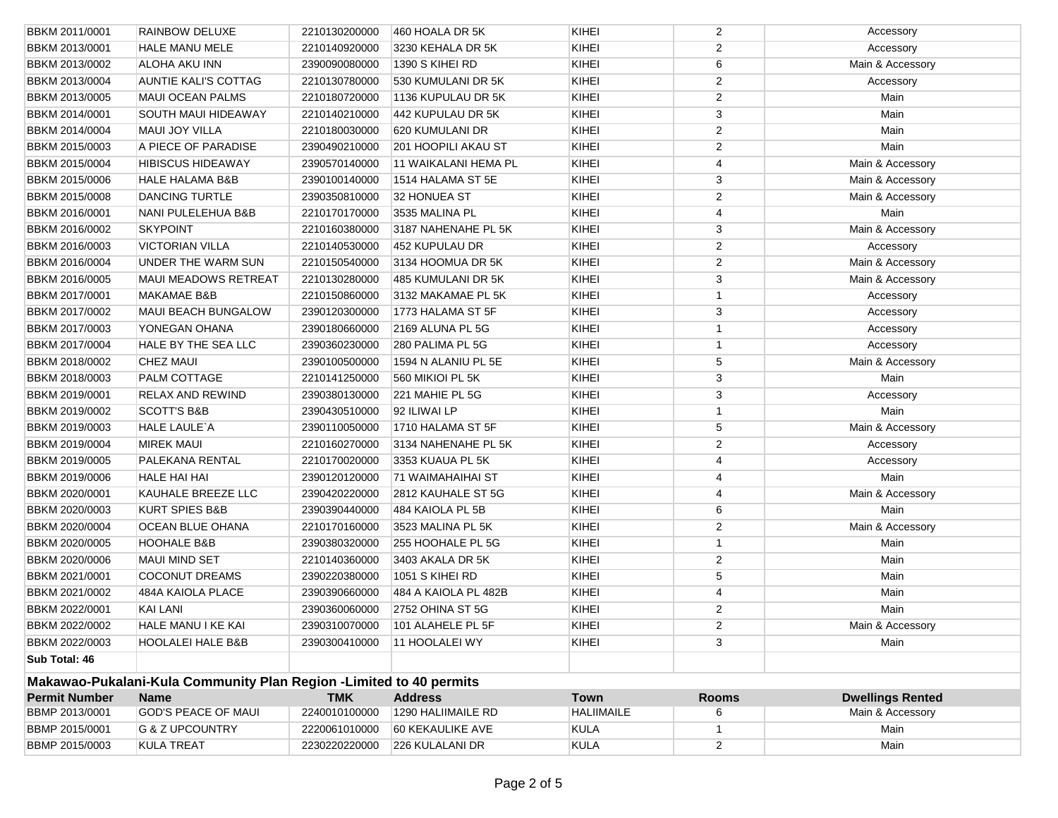| BBKM 2011/0001        | RAINBOW DELUXE                                                     | 2210130200000 | 460 HOALA DR 5K                 | KIHEI             | $\overline{2}$          | Accessory               |
|-----------------------|--------------------------------------------------------------------|---------------|---------------------------------|-------------------|-------------------------|-------------------------|
| BBKM 2013/0001        | <b>HALE MANU MELE</b>                                              | 2210140920000 | 3230 KEHALA DR 5K               | KIHEI             | 2                       | Accessory               |
| BBKM 2013/0002        | ALOHA AKU INN                                                      | 2390090080000 | 1390 S KIHEI RD                 | KIHEI             | 6                       | Main & Accessory        |
| BBKM 2013/0004        | <b>AUNTIE KALI'S COTTAG</b>                                        | 2210130780000 | 530 KUMULANI DR 5K              | KIHEI             | $\overline{2}$          | Accessory               |
| BBKM 2013/0005        | <b>MAUI OCEAN PALMS</b>                                            | 2210180720000 | 1136 KUPULAU DR 5K              | KIHEI             | $\overline{2}$          | Main                    |
| BBKM 2014/0001        | <b>SOUTH MAUI HIDEAWAY</b>                                         | 2210140210000 | 442 KUPULAU DR 5K               | KIHEI             | 3                       | Main                    |
| BBKM 2014/0004        | <b>MAUI JOY VILLA</b>                                              | 2210180030000 | 620 KUMULANI DR                 | KIHEI             | $\overline{2}$          | Main                    |
| BBKM 2015/0003        | A PIECE OF PARADISE                                                | 2390490210000 | 201 HOOPILI AKAU ST             | KIHEI             | $\overline{2}$          | Main                    |
| BBKM 2015/0004        | <b>HIBISCUS HIDEAWAY</b>                                           | 2390570140000 | 11 WAIKALANI HEMA PL            | KIHEI             | 4                       | Main & Accessory        |
| BBKM 2015/0006        | <b>HALE HALAMA B&amp;B</b>                                         | 2390100140000 | 1514 HALAMA ST 5E               | KIHEI             | 3                       | Main & Accessory        |
| BBKM 2015/0008        | <b>DANCING TURTLE</b>                                              | 2390350810000 | 32 HONUEA ST                    | KIHEI             | $\overline{2}$          | Main & Accessory        |
| BBKM 2016/0001        | NANI PULELEHUA B&B                                                 | 2210170170000 | 3535 MALINA PL                  | KIHEI             | 4                       | Main                    |
| BBKM 2016/0002        | <b>SKYPOINT</b>                                                    | 2210160380000 | 3187 NAHENAHE PL 5K             | KIHEI             | 3                       | Main & Accessory        |
| <b>BBKM 2016/0003</b> | <b>VICTORIAN VILLA</b>                                             | 2210140530000 | 452 KUPULAU DR                  | KIHEI             | 2                       | Accessory               |
| <b>BBKM 2016/0004</b> | <b>UNDER THE WARM SUN</b>                                          | 2210150540000 | 3134 HOOMUA DR 5K               | KIHEI             | $\overline{2}$          | Main & Accessory        |
| BBKM 2016/0005        | <b>MAUI MEADOWS RETREAT</b>                                        | 2210130280000 | 485 KUMULANI DR 5K              | KIHEI             | 3                       | Main & Accessory        |
| BBKM 2017/0001        | <b>MAKAMAE B&amp;B</b>                                             | 2210150860000 | 3132 MAKAMAE PL 5K              | KIHEI             | $\mathbf{1}$            | Accessory               |
| BBKM 2017/0002        | MAUI BEACH BUNGALOW                                                | 2390120300000 | 1773 HALAMA ST 5F               | KIHEI             | 3                       | Accessory               |
| BBKM 2017/0003        | YONEGAN OHANA                                                      | 2390180660000 | 2169 ALUNA PL 5G                | KIHEI             | $\mathbf{1}$            | Accessory               |
| BBKM 2017/0004        | HALE BY THE SEA LLC                                                | 2390360230000 | 280 PALIMA PL 5G                | KIHEI             | $\mathbf{1}$            | Accessory               |
| BBKM 2018/0002        | <b>CHEZ MAUI</b>                                                   | 2390100500000 | 1594 N ALANIU PL 5E             | KIHEI             | 5                       | Main & Accessory        |
| BBKM 2018/0003        | <b>PALM COTTAGE</b>                                                | 2210141250000 | 560 MIKIOI PL 5K                | KIHEI             | 3                       | Main                    |
| BBKM 2019/0001        | <b>RELAX AND REWIND</b>                                            | 2390380130000 | 221 MAHIE PL 5G                 | <b>KIHEI</b>      | 3                       | Accessory               |
| BBKM 2019/0002        | <b>SCOTT'S B&amp;B</b>                                             | 2390430510000 | 92 ILIWAI LP                    | KIHEI             | $\mathbf{1}$            | Main                    |
| BBKM 2019/0003        | <b>HALE LAULE A</b>                                                | 2390110050000 | 1710 HALAMA ST 5F               | KIHEI             | 5                       | Main & Accessory        |
| BBKM 2019/0004        | <b>MIREK MAUI</b>                                                  | 2210160270000 | 3134 NAHENAHE PL 5K             | KIHEI             | 2                       | Accessory               |
| BBKM 2019/0005        | PALEKANA RENTAL                                                    | 2210170020000 | 3353 KUAUA PL 5K                | KIHEI             | 4                       | Accessory               |
| BBKM 2019/0006        | <b>HALE HAI HAI</b>                                                | 2390120120000 | 71 WAIMAHAIHAI ST               | KIHEI             | 4                       | Main                    |
| BBKM 2020/0001        | KAUHALE BREEZE LLC                                                 | 2390420220000 | 2812 KAUHALE ST 5G              | KIHEI             | 4                       | Main & Accessory        |
| BBKM 2020/0003        | <b>KURT SPIES B&amp;B</b>                                          | 2390390440000 | 484 KAIOLA PL 5B                | KIHEI             | 6                       | Main                    |
| BBKM 2020/0004        | OCEAN BLUE OHANA                                                   | 2210170160000 | 3523 MALINA PL 5K               | KIHEI             | $\overline{2}$          | Main & Accessory        |
| BBKM 2020/0005        | <b>HOOHALE B&amp;B</b>                                             | 2390380320000 | 255 HOOHALE PL 5G               | KIHEI             | $\mathbf{1}$            | Main                    |
| BBKM 2020/0006        | MAUI MIND SET                                                      | 2210140360000 | 3403 AKALA DR 5K                | KIHEI             | $\overline{2}$          | Main                    |
| BBKM 2021/0001        | <b>COCONUT DREAMS</b>                                              | 2390220380000 | 1051 S KIHEI RD                 | KIHEI             | 5                       | Main                    |
| BBKM 2021/0002        | 484A KAIOLA PLACE                                                  | 2390390660000 | 484 A KAIOLA PL 482B            | KIHEI             | 4                       | Main                    |
| BBKM 2022/0001        | KAI LANI                                                           | 2390360060000 | 2752 OHINA ST 5G                | KIHEI             | 2                       | Main                    |
| BBKM 2022/0002        | HALE MANU I KE KAI                                                 |               | 2390310070000 101 ALAHELE PL 5F | KIHEI             | $\overline{\mathbf{c}}$ | Main & Accessory        |
| BBKM 2022/0003        | HOOLALEI HALE B&B                                                  | 2390300410000 | 11 HOOLALEI WY                  | KIHEI             | 3                       | Main                    |
| Sub Total: 46         |                                                                    |               |                                 |                   |                         |                         |
|                       | Makawao-Pukalani-Kula Community Plan Region -Limited to 40 permits |               |                                 |                   |                         |                         |
| <b>Permit Number</b>  | <b>Name</b>                                                        | <b>TMK</b>    | <b>Address</b>                  | <b>Town</b>       | <b>Rooms</b>            | <b>Dwellings Rented</b> |
| BBMP 2013/0001        | <b>GOD'S PEACE OF MAUI</b>                                         | 2240010100000 | 1290 HALIIMAILE RD              | <b>HALIIMAILE</b> | 6                       | Main & Accessory        |
| BBMP 2015/0001        | G & Z UPCOUNTRY                                                    | 2220061010000 | 60 KEKAULIKE AVE                | <b>KULA</b>       | 1                       | Main                    |
| BBMP 2015/0003        | <b>KULA TREAT</b>                                                  | 2230220220000 | 226 KULALANI DR                 | <b>KULA</b>       | $\overline{2}$          | Main                    |
|                       |                                                                    |               |                                 |                   |                         |                         |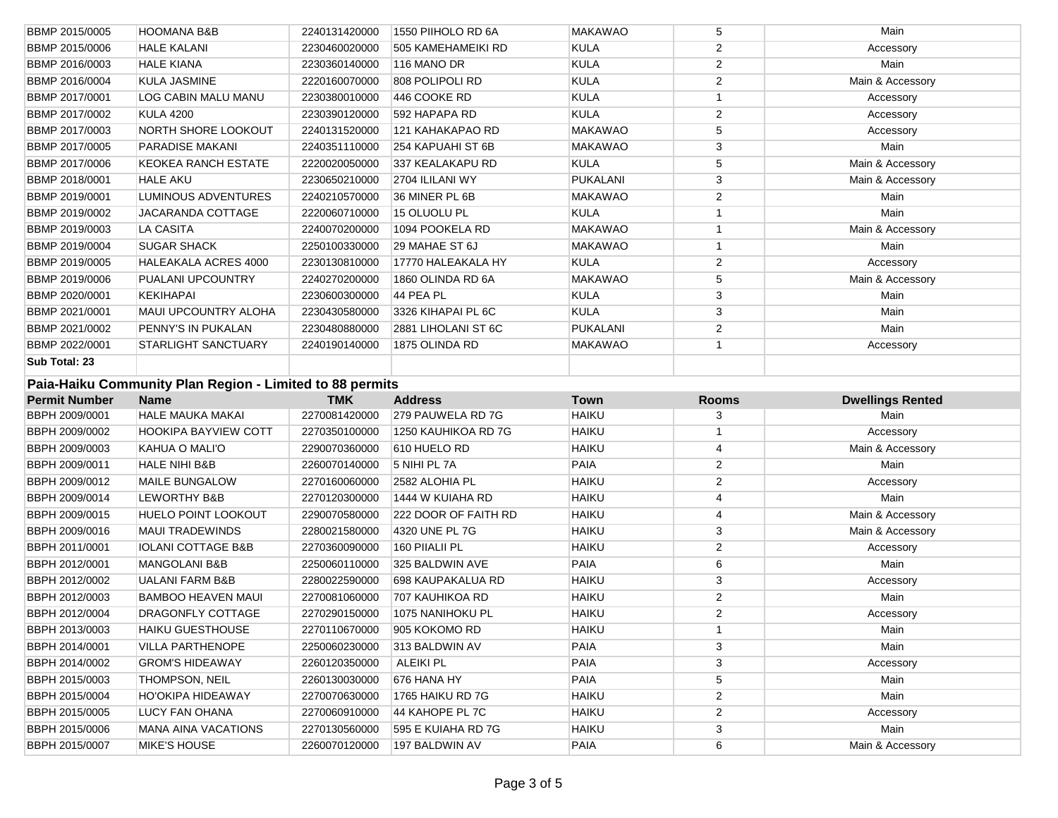| BBMP 2015/0005        | <b>HOOMANA B&amp;B</b>                                   | 2240131420000                  | 1550 PIIHOLO RD 6A                   | <b>MAKAWAO</b> | 5                       | Main                    |
|-----------------------|----------------------------------------------------------|--------------------------------|--------------------------------------|----------------|-------------------------|-------------------------|
| BBMP 2015/0006        | <b>HALE KALANI</b>                                       | 2230460020000                  | 505 KAMEHAMEIKI RD                   | <b>KULA</b>    | $\overline{2}$          | Accessory               |
| BBMP 2016/0003        | <b>HALE KIANA</b>                                        | 2230360140000                  | 116 MANO DR                          | <b>KULA</b>    | $\overline{\mathbf{c}}$ | Main                    |
| BBMP 2016/0004        | <b>KULA JASMINE</b>                                      | 2220160070000                  | 808 POLIPOLI RD                      | <b>KULA</b>    | $\overline{2}$          | Main & Accessory        |
| BBMP 2017/0001        | <b>LOG CABIN MALU MANU</b>                               | 2230380010000                  | 446 COOKE RD                         | <b>KULA</b>    | $\mathbf{1}$            | Accessory               |
| BBMP 2017/0002        | <b>KULA 4200</b>                                         | 2230390120000                  | 592 HAPAPA RD                        | <b>KULA</b>    | $\overline{\mathbf{c}}$ | Accessory               |
| BBMP 2017/0003        | <b>NORTH SHORE LOOKOUT</b>                               | 2240131520000                  | 121 KAHAKAPAO RD                     | <b>MAKAWAO</b> | 5                       | Accessory               |
| BBMP 2017/0005        | PARADISE MAKANI                                          | 2240351110000                  | 254 KAPUAHI ST 6B                    | <b>MAKAWAO</b> | 3                       | Main                    |
| <b>BBMP 2017/0006</b> | <b>KEOKEA RANCH ESTATE</b>                               | 2220020050000                  | 337 KEALAKAPU RD                     | <b>KULA</b>    | 5                       | Main & Accessory        |
| BBMP 2018/0001        | <b>HALE AKU</b>                                          | 2230650210000                  | 2704 ILILANI WY                      | PUKALANI       | 3                       | Main & Accessory        |
| BBMP 2019/0001        | <b>LUMINOUS ADVENTURES</b>                               | 2240210570000                  | 36 MINER PL 6B                       | <b>MAKAWAO</b> | $\overline{c}$          | Main                    |
| BBMP 2019/0002        | JACARANDA COTTAGE                                        | 2220060710000                  | 15 OLUOLU PL                         | <b>KULA</b>    | 1                       | Main                    |
| BBMP 2019/0003        | LA CASITA                                                | 2240070200000                  | 1094 POOKELA RD                      | <b>MAKAWAO</b> | 1                       | Main & Accessory        |
| BBMP 2019/0004        | <b>SUGAR SHACK</b>                                       | 2250100330000                  | 29 MAHAE ST 6J                       | <b>MAKAWAO</b> | $\mathbf{1}$            | Main                    |
| BBMP 2019/0005        | <b>HALEAKALA ACRES 4000</b>                              | 2230130810000                  | 17770 HALEAKALA HY                   | <b>KULA</b>    | $\overline{c}$          | Accessory               |
| BBMP 2019/0006        | PUALANI UPCOUNTRY                                        | 2240270200000                  | 1860 OLINDA RD 6A                    | <b>MAKAWAO</b> | 5                       | Main & Accessory        |
| BBMP 2020/0001        | <b>KEKIHAPAI</b>                                         | 2230600300000                  | 44 PEA PL                            | <b>KULA</b>    | 3                       | Main                    |
| BBMP 2021/0001        | MAUI UPCOUNTRY ALOHA                                     | 2230430580000                  | 3326 KIHAPAI PL 6C                   | <b>KULA</b>    | 3                       | Main                    |
| BBMP 2021/0002        | PENNY'S IN PUKALAN                                       | 2230480880000                  | 2881 LIHOLANI ST 6C                  | PUKALANI       | $\mathbf 2$             | Main                    |
| BBMP 2022/0001        | <b>STARLIGHT SANCTUARY</b>                               | 2240190140000                  | 1875 OLINDA RD                       | <b>MAKAWAO</b> | $\mathbf{1}$            | Accessory               |
| Sub Total: 23         |                                                          |                                |                                      |                |                         |                         |
|                       | Paia-Haiku Community Plan Region - Limited to 88 permits |                                |                                      |                |                         |                         |
|                       |                                                          |                                |                                      |                |                         |                         |
| <b>Permit Number</b>  | <b>Name</b>                                              | <b>TMK</b>                     | <b>Address</b>                       | <b>Town</b>    | <b>Rooms</b>            | <b>Dwellings Rented</b> |
| BBPH 2009/0001        | <b>HALE MAUKA MAKAI</b>                                  | 2270081420000                  | 279 PAUWELA RD 7G                    | <b>HAIKU</b>   | 3                       | Main                    |
| BBPH 2009/0002        | <b>HOOKIPA BAYVIEW COTT</b>                              | 2270350100000                  | 1250 KAUHIKOA RD 7G                  | <b>HAIKU</b>   | 1                       | Accessory               |
| BBPH 2009/0003        | KAHUA O MALI'O                                           | 2290070360000                  | 610 HUELO RD                         | <b>HAIKU</b>   | 4                       | Main & Accessory        |
| BBPH 2009/0011        | <b>HALE NIHI B&amp;B</b>                                 | 2260070140000                  | 5 NIHI PL 7A                         | PAIA           | $\overline{c}$          | Main                    |
| BBPH 2009/0012        | MAILE BUNGALOW                                           | 2270160060000                  | 2582 ALOHIA PL                       | <b>HAIKU</b>   | $\overline{c}$          | Accessory               |
| BBPH 2009/0014        | LEWORTHY B&B                                             | 2270120300000                  | 1444 W KUIAHA RD                     | <b>HAIKU</b>   | 4                       | Main                    |
| BBPH 2009/0015        | <b>HUELO POINT LOOKOUT</b>                               | 2290070580000                  | 222 DOOR OF FAITH RD                 | <b>HAIKU</b>   | 4                       | Main & Accessory        |
| BBPH 2009/0016        | <b>MAUI TRADEWINDS</b>                                   | 2280021580000                  | 4320 UNE PL 7G                       | <b>HAIKU</b>   | 3                       | Main & Accessory        |
| BBPH 2011/0001        | <b>IOLANI COTTAGE B&amp;B</b>                            | 2270360090000                  | 160 PIIALII PL                       | <b>HAIKU</b>   | 2                       | Accessory               |
| BBPH 2012/0001        | MANGOLANI B&B                                            | 2250060110000                  | 325 BALDWIN AVE                      | PAIA           | 6                       | Main                    |
| BBPH 2012/0002        | <b>UALANI FARM B&amp;B</b>                               | 2280022590000                  | 698 KAUPAKALUA RD                    | <b>HAIKU</b>   | 3                       | Accessory               |
| BBPH 2012/0003        | <b>BAMBOO HEAVEN MAUI</b>                                | 2270081060000                  | 707 KAUHIKOA RD                      | <b>HAIKU</b>   | 2                       | Main                    |
| BBPH 2012/0004        | <b>DRAGONFLY COTTAGE</b>                                 | 2270290150000                  | 1075 NANIHOKU PL                     | <b>HAIKU</b>   | $\overline{c}$          | Accessory               |
| BBPH 2013/0003        | <b>HAIKU GUESTHOUSE</b>                                  | 2270110670000                  | 905 KOKOMO RD                        | <b>HAIKU</b>   | $\mathbf{1}$            | Main                    |
| BBPH 2014/0001        | <b>VILLA PARTHENOPE</b>                                  | 2250060230000                  | 313 BALDWIN AV                       | PAIA           | 3                       | Main                    |
| BBPH 2014/0002        | <b>GROM'S HIDEAWAY</b>                                   | 2260120350000                  | <b>ALEIKI PL</b>                     | PAIA           | 3                       | Accessory               |
| BBPH 2015/0003        | <b>THOMPSON, NEIL</b>                                    | 2260130030000                  | 676 HANA HY                          | PAIA           | 5                       | Main                    |
| BBPH 2015/0004        | <b>HO'OKIPA HIDEAWAY</b>                                 | 2270070630000                  | 1765 HAIKU RD 7G                     | <b>HAIKU</b>   | 2                       | Main                    |
| BBPH 2015/0005        | LUCY FAN OHANA                                           | 2270060910000                  | 44 KAHOPE PL 7C                      | <b>HAIKU</b>   | $\overline{\mathbf{c}}$ | Accessory               |
| BBPH 2015/0006        | <b>MANA AINA VACATIONS</b>                               | 2270130560000<br>2260070120000 | 595 E KUIAHA RD 7G<br>197 BALDWIN AV | <b>HAIKU</b>   | 3                       | Main                    |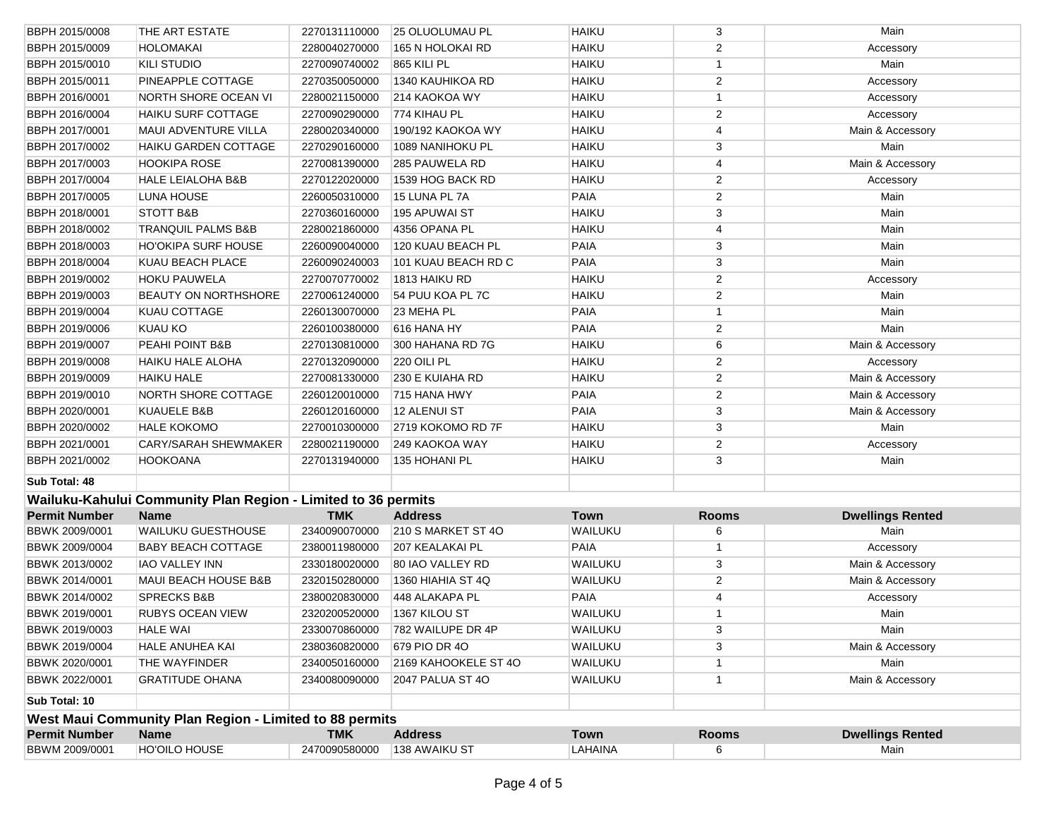| BBWM 2009/0001        | HO'OILO HOUSE                                                 | 2470090580000 | 138 AWAIKU ST          | LAHAINA      | 6              | Main                    |
|-----------------------|---------------------------------------------------------------|---------------|------------------------|--------------|----------------|-------------------------|
| <b>Permit Number</b>  | <b>Name</b>                                                   | <b>TMK</b>    | <b>Address</b>         | <b>Town</b>  | <b>Rooms</b>   | <b>Dwellings Rented</b> |
|                       | West Maui Community Plan Region - Limited to 88 permits       |               |                        |              |                |                         |
| Sub Total: 10         |                                                               |               |                        |              |                |                         |
| BBWK 2022/0001        | <b>GRATITUDE OHANA</b>                                        | 2340080090000 | 2047 PALUA ST 4O       | WAILUKU      | $\mathbf{1}$   | Main & Accessory        |
| BBWK 2020/0001        | THE WAYFINDER                                                 | 2340050160000 | 2169 KAHOOKELE ST 4O   | WAILUKU      | $\mathbf{1}$   | Main                    |
| <b>BBWK 2019/0004</b> | HALE ANUHEA KAI                                               | 2380360820000 | 679 PIO DR 40          | WAILUKU      | 3              | Main & Accessory        |
| BBWK 2019/0003        | <b>HALE WAI</b>                                               | 2330070860000 | 782 WAILUPE DR 4P      | WAILUKU      | 3              | Main                    |
| BBWK 2019/0001        | <b>RUBYS OCEAN VIEW</b>                                       | 2320200520000 | 1367 KILOU ST          | WAILUKU      | $\mathbf{1}$   | Main                    |
| BBWK 2014/0002        | <b>SPRECKS B&amp;B</b>                                        | 2380020830000 | 448 ALAKAPA PL         | <b>PAIA</b>  | 4              | Accessory               |
| BBWK 2014/0001        | <b>MAUI BEACH HOUSE B&amp;B</b>                               | 2320150280000 | 1360 HIAHIA ST 4Q      | WAILUKU      | $\overline{2}$ | Main & Accessory        |
| BBWK 2013/0002        | <b>IAO VALLEY INN</b>                                         | 2330180020000 | 80 IAO VALLEY RD       | WAILUKU      | 3              | Main & Accessory        |
| BBWK 2009/0004        | <b>BABY BEACH COTTAGE</b>                                     | 2380011980000 | 207 KEALAKAI PL        | <b>PAIA</b>  | $\mathbf{1}$   | Accessory               |
| BBWK 2009/0001        | <b>WAILUKU GUESTHOUSE</b>                                     | 2340090070000 | 210 S MARKET ST 4O     | WAILUKU      | 6              | Main                    |
| <b>Permit Number</b>  | <b>Name</b>                                                   | <b>TMK</b>    | <b>Address</b>         | <b>Town</b>  | <b>Rooms</b>   | <b>Dwellings Rented</b> |
|                       | Wailuku-Kahului Community Plan Region - Limited to 36 permits |               |                        |              |                |                         |
| Sub Total: 48         |                                                               |               |                        |              |                |                         |
| BBPH 2021/0002        | <b>HOOKOANA</b>                                               | 2270131940000 | 135 HOHANI PL          | <b>HAIKU</b> | 3              | Main                    |
| BBPH 2021/0001        | <b>CARY/SARAH SHEWMAKER</b>                                   | 2280021190000 | 249 KAOKOA WAY         | <b>HAIKU</b> | $\overline{2}$ | Accessory               |
| BBPH 2020/0002        | <b>HALE KOKOMO</b>                                            | 2270010300000 | 2719 KOKOMO RD 7F      | <b>HAIKU</b> | 3              | Main                    |
| BBPH 2020/0001        | <b>KUAUELE B&amp;B</b>                                        | 2260120160000 | 12 ALENUI ST           | <b>PAIA</b>  | 3              | Main & Accessory        |
| BBPH 2019/0010        | <b>NORTH SHORE COTTAGE</b>                                    | 2260120010000 | 715 HANA HWY           | <b>PAIA</b>  | $\sqrt{2}$     | Main & Accessory        |
| BBPH 2019/0009        | <b>HAIKU HALE</b>                                             | 2270081330000 | 230 E KUIAHA RD        | <b>HAIKU</b> | $\overline{2}$ | Main & Accessory        |
| BBPH 2019/0008        | <b>HAIKU HALE ALOHA</b>                                       | 2270132090000 | 220 OILI PL            | <b>HAIKU</b> | $\overline{2}$ | Accessory               |
| <b>BBPH 2019/0007</b> | PEAHI POINT B&B                                               | 2270130810000 | 300 HAHANA RD 7G       | <b>HAIKU</b> | 6              | Main & Accessory        |
| BBPH 2019/0006        | <b>KUAU KO</b>                                                | 2260100380000 | 616 HANA HY            | <b>PAIA</b>  | 2              | Main                    |
| <b>BBPH 2019/0004</b> | KUAU COTTAGE                                                  | 2260130070000 | 23 MEHA PL             | <b>PAIA</b>  | $\mathbf{1}$   | Main                    |
| BBPH 2019/0003        | <b>BEAUTY ON NORTHSHORE</b>                                   | 2270061240000 | 54 PUU KOA PL 7C       | <b>HAIKU</b> | $\overline{2}$ | Main                    |
| BBPH 2019/0002        | <b>HOKU PAUWELA</b>                                           | 2270070770002 | 1813 HAIKU RD          | <b>HAIKU</b> | 2              | Accessory               |
| <b>BBPH 2018/0004</b> | KUAU BEACH PLACE                                              | 2260090240003 | 101 KUAU BEACH RD C    | <b>PAIA</b>  | 3              | Main                    |
| BBPH 2018/0003        | HO'OKIPA SURF HOUSE                                           | 2260090040000 | 120 KUAU BEACH PL      | <b>PAIA</b>  | 3              | Main                    |
| BBPH 2018/0002        | <b>TRANQUIL PALMS B&amp;B</b>                                 | 2280021860000 | 4356 OPANA PL          | <b>HAIKU</b> | 4              | Main                    |
| BBPH 2018/0001        | <b>STOTT B&amp;B</b>                                          | 2270360160000 | 195 APUWAI ST          | <b>HAIKU</b> | 3              | Main                    |
| BBPH 2017/0005        | LUNA HOUSE                                                    | 2260050310000 | 15 LUNA PL 7A          | <b>PAIA</b>  | $\overline{2}$ | Main                    |
| BBPH 2017/0004        | <b>HALE LEIALOHA B&amp;B</b>                                  | 2270122020000 | 1539 HOG BACK RD       | <b>HAIKU</b> | $\overline{2}$ | Accessory               |
| BBPH 2017/0003        | <b>HOOKIPA ROSE</b>                                           | 2270081390000 | 285 PAUWELA RD         | <b>HAIKU</b> | 4              | Main & Accessory        |
| BBPH 2017/0002        | <b>HAIKU GARDEN COTTAGE</b>                                   | 2270290160000 | 1089 NANIHOKU PL       | <b>HAIKU</b> | 3              | Main                    |
| BBPH 2017/0001        | <b>MAUI ADVENTURE VILLA</b>                                   | 2280020340000 | 190/192 KAOKOA WY      | <b>HAIKU</b> | 4              | Main & Accessory        |
| BBPH 2016/0004        | <b>HAIKU SURF COTTAGE</b>                                     | 2270090290000 | 774 KIHAU PL           | <b>HAIKU</b> | $\overline{2}$ | Accessory               |
| BBPH 2016/0001        | NORTH SHORE OCEAN VI                                          | 2280021150000 | 214 KAOKOA WY          | <b>HAIKU</b> | $\mathbf{1}$   | Accessory               |
| BBPH 2015/0011        | PINEAPPLE COTTAGE                                             | 2270350050000 | 1340 KAUHIKOA RD       | <b>HAIKU</b> | $\overline{c}$ | Accessory               |
| <b>BBPH 2015/0010</b> | <b>KILI STUDIO</b>                                            | 2270090740002 | 865 KILI PL            | <b>HAIKU</b> | $\mathbf{1}$   | Main                    |
| BBPH 2015/0009        | <b>HOLOMAKAI</b>                                              | 2280040270000 | 165 N HOLOKAI RD       | <b>HAIKU</b> | 2              | Accessory               |
| BBPH 2015/0008        | THE ART ESTATE                                                | 2270131110000 | <b>25 OLUOLUMAU PL</b> | <b>HAIKU</b> | 3              | Main                    |